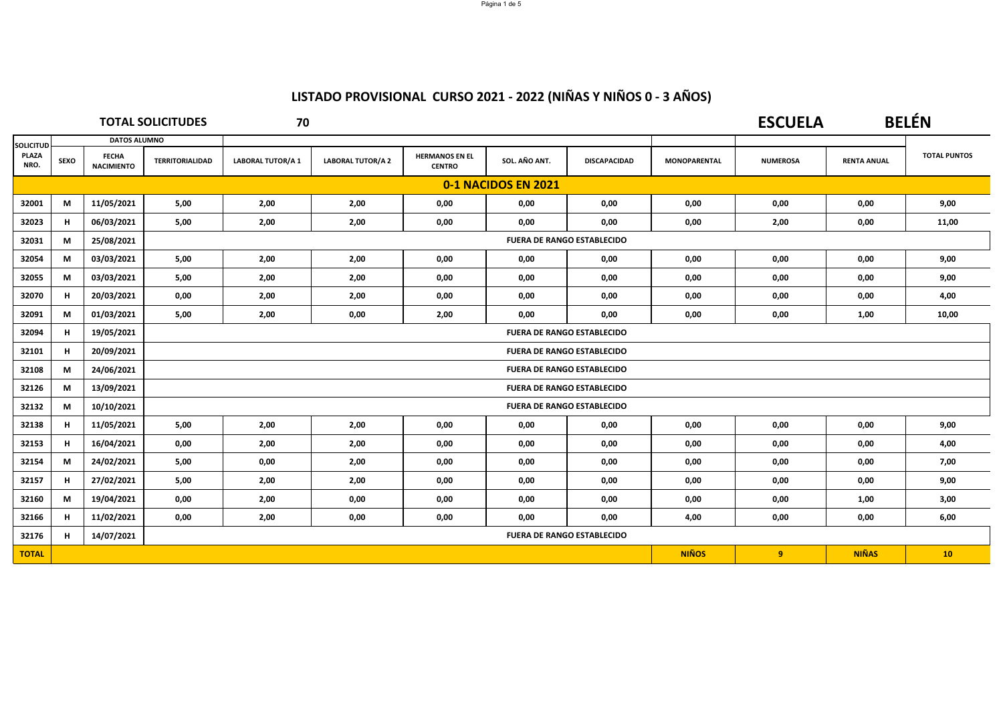|                  |                     |                                   | <b>TOTAL SOLICITUDES</b> | 70                       |                          |                                        |               |                                   |                     | <b>ESCUELA</b>  |                    | <b>BELÉN</b>        |
|------------------|---------------------|-----------------------------------|--------------------------|--------------------------|--------------------------|----------------------------------------|---------------|-----------------------------------|---------------------|-----------------|--------------------|---------------------|
| <b>SOLICITUD</b> |                     | <b>DATOS ALUMNO</b>               |                          |                          |                          |                                        |               |                                   |                     |                 |                    |                     |
| PLAZA<br>NRO.    | SEXO                | <b>FECHA</b><br><b>NACIMIENTO</b> | <b>TERRITORIALIDAD</b>   | <b>LABORAL TUTOR/A 1</b> | <b>LABORAL TUTOR/A 2</b> | <b>HERMANOS EN EL</b><br><b>CENTRO</b> | SOL. AÑO ANT. | <b>DISCAPACIDAD</b>               | <b>MONOPARENTAL</b> | <b>NUMEROSA</b> | <b>RENTA ANUAL</b> | <b>TOTAL PUNTOS</b> |
|                  | 0-1 NACIDOS EN 2021 |                                   |                          |                          |                          |                                        |               |                                   |                     |                 |                    |                     |
| 32001            | М                   | 11/05/2021                        | 5,00                     | 2,00                     | 2,00                     | 0,00                                   | 0,00          | 0,00                              | 0,00                | 0,00            | 0,00               | 9,00                |
| 32023            | н                   | 06/03/2021                        | 5,00                     | 2,00                     | 2,00                     | 0,00                                   | 0,00          | 0,00                              | 0,00                | 2,00            | 0,00               | 11,00               |
| 32031            | М                   | 25/08/2021                        |                          |                          |                          |                                        |               | <b>FUERA DE RANGO ESTABLECIDO</b> |                     |                 |                    |                     |
| 32054            | М                   | 03/03/2021                        | 5,00                     | 2,00                     | 2,00                     | 0,00                                   | 0,00          | 0,00                              | 0,00                | 0,00            | 0,00               | 9,00                |
| 32055            | М                   | 03/03/2021                        | 5,00                     | 2,00                     | 2,00                     | 0,00                                   | 0,00          | 0,00                              | 0,00                | 0,00            | 0,00               | 9,00                |
| 32070            | н                   | 20/03/2021                        | 0,00                     | 2,00                     | 2,00                     | 0,00                                   | 0,00          | 0,00                              | 0,00                | 0,00            | 0,00               | 4,00                |
| 32091            | М                   | 01/03/2021                        | 5,00                     | 2,00                     | 0,00                     | 2,00                                   | 0,00          | 0,00                              | 0,00                | 0,00            | 1,00               | 10,00               |
| 32094            | н                   | 19/05/2021                        |                          |                          |                          |                                        |               | <b>FUERA DE RANGO ESTABLECIDO</b> |                     |                 |                    |                     |
| 32101            | н                   | 20/09/2021                        |                          |                          |                          |                                        |               | <b>FUERA DE RANGO ESTABLECIDO</b> |                     |                 |                    |                     |
| 32108            | М                   | 24/06/2021                        |                          |                          |                          |                                        |               | <b>FUERA DE RANGO ESTABLECIDO</b> |                     |                 |                    |                     |
| 32126            | М                   | 13/09/2021                        |                          |                          |                          |                                        |               | <b>FUERA DE RANGO ESTABLECIDO</b> |                     |                 |                    |                     |
| 32132            | М                   | 10/10/2021                        |                          |                          |                          |                                        |               | <b>FUERA DE RANGO ESTABLECIDO</b> |                     |                 |                    |                     |
| 32138            | н                   | 11/05/2021                        | 5,00                     | 2,00                     | 2,00                     | 0,00                                   | 0,00          | 0,00                              | 0,00                | 0,00            | 0,00               | 9,00                |
| 32153            | н                   | 16/04/2021                        | 0,00                     | 2,00                     | 2,00                     | 0,00                                   | 0,00          | 0,00                              | 0,00                | 0,00            | 0,00               | 4,00                |
| 32154            | М                   | 24/02/2021                        | 5,00                     | 0,00                     | 2,00                     | 0,00                                   | 0,00          | 0,00                              | 0,00                | 0,00            | 0,00               | 7,00                |
| 32157            | н                   | 27/02/2021                        | 5,00                     | 2,00                     | 2,00                     | 0,00                                   | 0,00          | 0,00                              | 0,00                | 0,00            | 0,00               | 9,00                |
| 32160            | М                   | 19/04/2021                        | 0,00                     | 2,00                     | 0,00                     | 0,00                                   | 0,00          | 0,00                              | 0,00                | 0,00            | 1,00               | 3,00                |
| 32166            | н.                  | 11/02/2021                        | 0.00                     | 2,00                     | 0,00                     | 0,00                                   | 0.00          | 0.00                              | 4,00                | 0,00            | 0,00               | 6,00                |
| 32176            | н.                  | 14/07/2021                        |                          |                          |                          |                                        |               | <b>FUERA DE RANGO ESTABLECIDO</b> |                     |                 |                    |                     |
| <b>TOTAL</b>     |                     |                                   |                          |                          |                          |                                        |               |                                   | <b>NIÑOS</b>        | 9               | <b>NIÑAS</b>       | 10                  |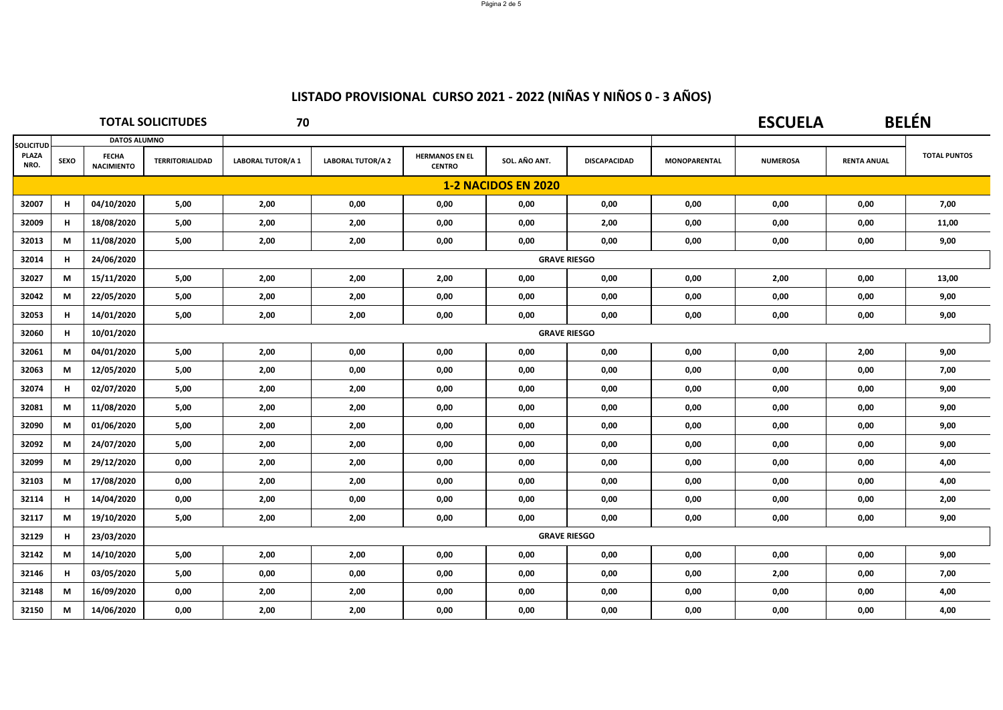|                            | <b>TOTAL SOLICITUDES</b> |                                   |                        | 70                |                          |                                        |                     |                     | <b>ESCUELA</b>      |                 | <b>BELÉN</b>       |                     |
|----------------------------|--------------------------|-----------------------------------|------------------------|-------------------|--------------------------|----------------------------------------|---------------------|---------------------|---------------------|-----------------|--------------------|---------------------|
| <b>SOLICITUD</b>           |                          | <b>DATOS ALUMNO</b>               |                        |                   |                          |                                        |                     |                     |                     |                 |                    |                     |
| <b>PLAZA</b><br>NRO.       | SEXO                     | <b>FECHA</b><br><b>NACIMIENTO</b> | <b>TERRITORIALIDAD</b> | LABORAL TUTOR/A 1 | <b>LABORAL TUTOR/A 2</b> | <b>HERMANOS EN EL</b><br><b>CENTRO</b> | SOL. AÑO ANT.       | <b>DISCAPACIDAD</b> | <b>MONOPARENTAL</b> | <b>NUMEROSA</b> | <b>RENTA ANUAL</b> | <b>TOTAL PUNTOS</b> |
| <b>1-2 NACIDOS EN 2020</b> |                          |                                   |                        |                   |                          |                                        |                     |                     |                     |                 |                    |                     |
| 32007                      | н                        | 04/10/2020                        | 5,00                   | 2,00              | 0,00                     | 0,00                                   | 0,00                | 0,00                | 0,00                | 0,00            | 0,00               | 7,00                |
| 32009                      | н                        | 18/08/2020                        | 5,00                   | 2,00              | 2,00                     | 0,00                                   | 0,00                | 2,00                | 0,00                | 0,00            | 0,00               | 11,00               |
| 32013                      | М                        | 11/08/2020                        | 5,00                   | 2,00              | 2,00                     | 0,00                                   | 0,00                | 0,00                | 0,00                | 0,00            | 0,00               | 9,00                |
| 32014                      | н                        | 24/06/2020                        |                        |                   |                          |                                        | <b>GRAVE RIESGO</b> |                     |                     |                 |                    |                     |
| 32027                      | M                        | 15/11/2020                        | 5,00                   | 2,00              | 2,00                     | 2,00                                   | 0,00                | 0,00                | 0,00                | 2,00            | 0,00               | 13,00               |
| 32042                      | М                        | 22/05/2020                        | 5,00                   | 2,00              | 2,00                     | 0,00                                   | 0,00                | 0,00                | 0,00                | 0,00            | 0,00               | 9,00                |
| 32053                      | н                        | 14/01/2020                        | 5,00                   | 2,00              | 2,00                     | 0,00                                   | 0,00                | 0,00                | 0,00                | 0,00            | 0,00               | 9,00                |
| 32060                      | н.                       | 10/01/2020                        |                        |                   |                          |                                        | <b>GRAVE RIESGO</b> |                     |                     |                 |                    |                     |
| 32061                      | M                        | 04/01/2020                        | 5,00                   | 2,00              | 0,00                     | 0,00                                   | 0,00                | 0,00                | 0,00                | 0,00            | 2,00               | 9,00                |
| 32063                      | М                        | 12/05/2020                        | 5,00                   | 2,00              | 0,00                     | 0,00                                   | 0,00                | 0,00                | 0,00                | 0,00            | 0,00               | 7,00                |
| 32074                      | н                        | 02/07/2020                        | 5,00                   | 2,00              | 2,00                     | 0,00                                   | 0,00                | 0,00                | 0,00                | 0,00            | 0,00               | 9,00                |
| 32081                      | М                        | 11/08/2020                        | 5,00                   | 2,00              | 2,00                     | 0,00                                   | 0,00                | 0,00                | 0,00                | 0,00            | 0,00               | 9,00                |
| 32090                      | М                        | 01/06/2020                        | 5,00                   | 2,00              | 2,00                     | 0,00                                   | 0,00                | 0,00                | 0,00                | 0,00            | 0,00               | 9,00                |
| 32092                      | М                        | 24/07/2020                        | 5,00                   | 2,00              | 2,00                     | 0,00                                   | 0,00                | 0,00                | 0,00                | 0,00            | 0,00               | 9,00                |
| 32099                      | M                        | 29/12/2020                        | 0,00                   | 2,00              | 2,00                     | 0,00                                   | 0,00                | 0,00                | 0,00                | 0,00            | 0,00               | 4,00                |
| 32103                      | М                        | 17/08/2020                        | 0,00                   | 2,00              | 2,00                     | 0,00                                   | 0,00                | 0,00                | 0,00                | 0,00            | 0,00               | 4,00                |
| 32114                      | н                        | 14/04/2020                        | 0,00                   | 2,00              | 0,00                     | 0,00                                   | 0,00                | 0,00                | 0,00                | 0,00            | 0,00               | 2,00                |
| 32117                      | M                        | 19/10/2020                        | 5,00                   | 2,00              | 2,00                     | 0,00                                   | 0,00                | 0,00                | 0,00                | 0,00            | 0,00               | 9,00                |
| 32129                      | н                        | 23/03/2020                        |                        |                   |                          |                                        | <b>GRAVE RIESGO</b> |                     |                     |                 |                    |                     |
| 32142                      | М                        | 14/10/2020                        | 5,00                   | 2,00              | 2,00                     | 0,00                                   | 0,00                | 0,00                | 0,00                | 0,00            | 0,00               | 9,00                |
| 32146                      | н                        | 03/05/2020                        | 5,00                   | 0,00              | 0,00                     | 0,00                                   | 0,00                | 0,00                | 0,00                | 2,00            | 0,00               | 7,00                |
| 32148                      | М                        | 16/09/2020                        | 0,00                   | 2,00              | 2,00                     | 0,00                                   | 0,00                | 0,00                | 0,00                | 0,00            | 0,00               | 4,00                |
| 32150                      | M                        | 14/06/2020                        | 0,00                   | 2,00              | 2,00                     | 0,00                                   | 0,00                | 0,00                | 0,00                | 0,00            | 0,00               | 4,00                |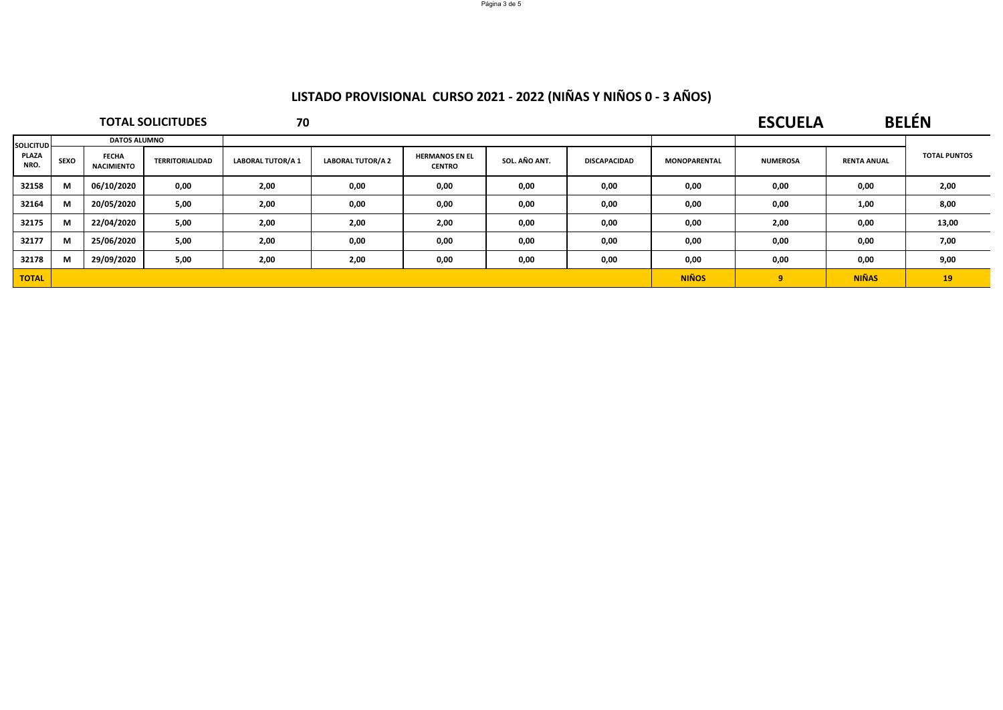| <b>TOTAL SOLICITUDES</b> |             |                                   |                 | 70                       |                          |                                        |               |                     |                     | <b>ESCUELA</b>  |                    | <b>BELÉN</b>        |  |
|--------------------------|-------------|-----------------------------------|-----------------|--------------------------|--------------------------|----------------------------------------|---------------|---------------------|---------------------|-----------------|--------------------|---------------------|--|
| <b>SOLICITUD</b>         |             | <b>DATOS ALUMNO</b>               |                 |                          |                          |                                        |               |                     |                     |                 |                    |                     |  |
| PLAZA<br>NRO.            | <b>SEXO</b> | <b>FECHA</b><br><b>NACIMIENTO</b> | TERRITORIALIDAD | <b>LABORAL TUTOR/A 1</b> | <b>LABORAL TUTOR/A 2</b> | <b>HERMANOS EN EL</b><br><b>CENTRO</b> | SOL. AÑO ANT. | <b>DISCAPACIDAD</b> | <b>MONOPARENTAL</b> | <b>NUMEROSA</b> | <b>RENTA ANUAL</b> | <b>TOTAL PUNTOS</b> |  |
| 32158                    | М           | 06/10/2020                        | 0,00            | 2,00                     | 0,00                     | 0,00                                   | 0,00          | 0,00                | 0,00                | 0,00            | 0,00               | 2,00                |  |
| 32164                    | М           | 20/05/2020                        | 5,00            | 2,00                     | 0,00                     | 0,00                                   | 0,00          | 0,00                | 0,00                | 0,00            | 1,00               | 8,00                |  |
| 32175                    | M           | 22/04/2020                        | 5,00            | 2,00                     | 2,00                     | 2,00                                   | 0,00          | 0,00                | 0,00                | 2,00            | 0,00               | 13,00               |  |
| 32177                    | M           | 25/06/2020                        | 5,00            | 2,00                     | 0,00                     | 0,00                                   | 0,00          | 0,00                | 0,00                | 0,00            | 0,00               | 7,00                |  |
| 32178                    | M           | 29/09/2020                        | 5,00            | 2,00                     | 2,00                     | 0,00                                   | 0,00          | 0,00                | 0,00                | 0,00            | 0,00               | 9,00                |  |
| <b>TOTAL</b>             |             |                                   |                 |                          |                          |                                        |               |                     | <b>NIÑOS</b>        | 9               | <b>NIÑAS</b>       | 19                  |  |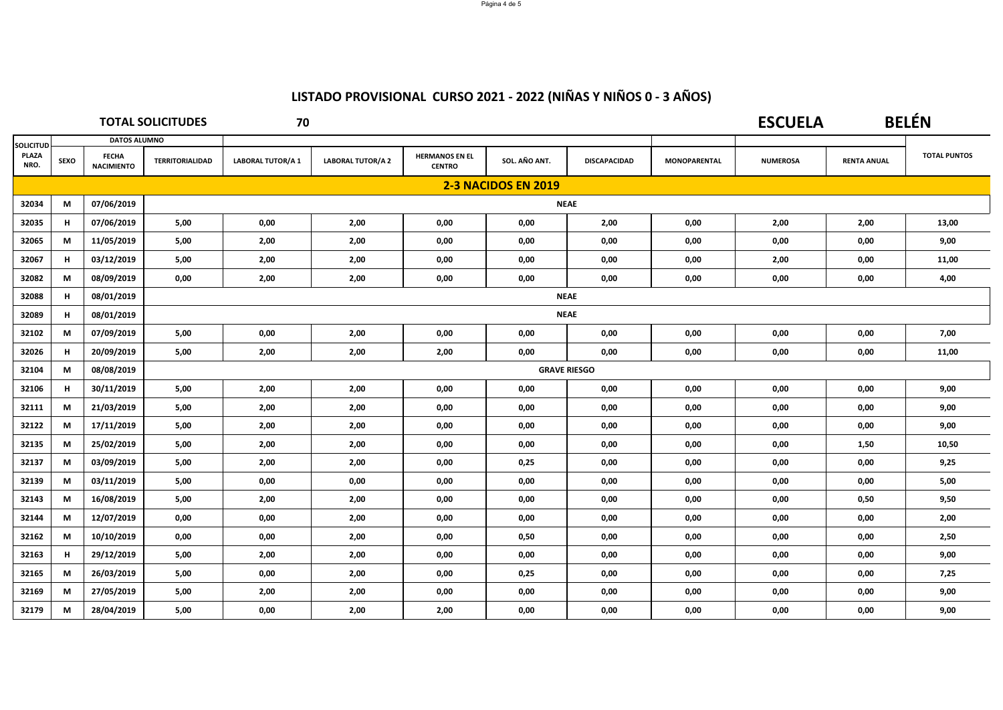| <b>TOTAL SOLICITUDES</b> |      |                                   |                        | 70                       |                          |                                        |                            |                     |                     | <b>ESCUELA</b>  |                    | <b>BELÉN</b>        |  |
|--------------------------|------|-----------------------------------|------------------------|--------------------------|--------------------------|----------------------------------------|----------------------------|---------------------|---------------------|-----------------|--------------------|---------------------|--|
| <b>SOLICITUD</b>         |      | <b>DATOS ALUMNO</b>               |                        |                          |                          |                                        |                            |                     |                     |                 |                    |                     |  |
| PLAZA<br>NRO.            | SEXO | <b>FECHA</b><br><b>NACIMIENTO</b> | <b>TERRITORIALIDAD</b> | <b>LABORAL TUTOR/A 1</b> | <b>LABORAL TUTOR/A 2</b> | <b>HERMANOS EN EL</b><br><b>CENTRO</b> | SOL. AÑO ANT.              | <b>DISCAPACIDAD</b> | <b>MONOPARENTAL</b> | <b>NUMEROSA</b> | <b>RENTA ANUAL</b> | <b>TOTAL PUNTOS</b> |  |
|                          |      |                                   |                        |                          |                          |                                        | <b>2-3 NACIDOS EN 2019</b> |                     |                     |                 |                    |                     |  |
| 32034                    | M    | 07/06/2019                        |                        | <b>NEAE</b>              |                          |                                        |                            |                     |                     |                 |                    |                     |  |
| 32035                    | н    | 07/06/2019                        | 5,00                   | 0,00                     | 2,00                     | 0,00                                   | 0,00                       | 2,00                | 0,00                | 2,00            | 2,00               | 13,00               |  |
| 32065                    | М    | 11/05/2019                        | 5,00                   | 2,00                     | 2,00                     | 0,00                                   | 0,00                       | 0,00                | 0,00                | 0,00            | 0,00               | 9,00                |  |
| 32067                    | н    | 03/12/2019                        | 5,00                   | 2,00                     | 2,00                     | 0,00                                   | 0,00                       | 0,00                | 0,00                | 2,00            | 0,00               | 11,00               |  |
| 32082                    | М    | 08/09/2019                        | 0,00                   | 2,00                     | 2,00                     | 0,00                                   | 0,00                       | 0,00                | 0,00                | 0,00            | 0,00               | 4,00                |  |
| 32088                    | н    | 08/01/2019                        |                        |                          |                          |                                        |                            | <b>NEAE</b>         |                     |                 |                    |                     |  |
| 32089                    | н    | 08/01/2019                        |                        |                          |                          |                                        |                            | <b>NEAE</b>         |                     |                 |                    |                     |  |
| 32102                    | М    | 07/09/2019                        | 5,00                   | 0,00                     | 2,00                     | 0,00                                   | 0,00                       | 0,00                | 0,00                | 0,00            | 0,00               | 7,00                |  |
| 32026                    | н    | 20/09/2019                        | 5,00                   | 2,00                     | 2,00                     | 2,00                                   | 0,00                       | 0,00                | 0,00                | 0,00            | 0,00               | 11,00               |  |
| 32104                    | М    | 08/08/2019                        |                        |                          |                          |                                        | <b>GRAVE RIESGO</b>        |                     |                     |                 |                    |                     |  |
| 32106                    | н    | 30/11/2019                        | 5,00                   | 2,00                     | 2,00                     | 0.00                                   | 0,00                       | 0,00                | 0,00                | 0,00            | 0,00               | 9,00                |  |
| 32111                    | М    | 21/03/2019                        | 5,00                   | 2,00                     | 2,00                     | 0,00                                   | 0,00                       | 0,00                | 0,00                | 0,00            | 0,00               | 9,00                |  |
| 32122                    | М    | 17/11/2019                        | 5,00                   | 2,00                     | 2,00                     | 0,00                                   | 0,00                       | 0,00                | 0,00                | 0,00            | 0,00               | 9,00                |  |
| 32135                    | М    | 25/02/2019                        | 5,00                   | 2,00                     | 2,00                     | 0,00                                   | 0,00                       | 0,00                | 0,00                | 0,00            | 1,50               | 10,50               |  |
| 32137                    | M    | 03/09/2019                        | 5,00                   | 2,00                     | 2,00                     | 0,00                                   | 0,25                       | 0,00                | 0,00                | 0,00            | 0,00               | 9,25                |  |
| 32139                    | М    | 03/11/2019                        | 5,00                   | 0,00                     | 0,00                     | 0,00                                   | 0,00                       | 0,00                | 0,00                | 0,00            | 0,00               | 5,00                |  |
| 32143                    | М    | 16/08/2019                        | 5,00                   | 2,00                     | 2,00                     | 0,00                                   | 0,00                       | 0,00                | 0,00                | 0,00            | 0,50               | 9,50                |  |
| 32144                    | M    | 12/07/2019                        | 0,00                   | 0,00                     | 2,00                     | 0,00                                   | 0,00                       | 0,00                | 0,00                | 0,00            | 0,00               | 2,00                |  |
| 32162                    | M    | 10/10/2019                        | 0,00                   | 0,00                     | 2,00                     | 0,00                                   | 0,50                       | 0,00                | 0,00                | 0,00            | 0,00               | 2,50                |  |
| 32163                    | н    | 29/12/2019                        | 5,00                   | 2,00                     | 2,00                     | 0,00                                   | 0,00                       | 0,00                | 0,00                | 0,00            | 0,00               | 9,00                |  |
| 32165                    | М    | 26/03/2019                        | 5,00                   | 0,00                     | 2,00                     | 0,00                                   | 0,25                       | 0,00                | 0,00                | 0,00            | 0,00               | 7,25                |  |
| 32169                    | М    | 27/05/2019                        | 5,00                   | 2,00                     | 2,00                     | 0,00                                   | 0,00                       | 0,00                | 0,00                | 0,00            | 0,00               | 9,00                |  |
| 32179                    | M    | 28/04/2019                        | 5,00                   | 0,00                     | 2,00                     | 2,00                                   | 0,00                       | 0,00                | 0,00                | 0,00            | 0,00               | 9,00                |  |

Página 4 de 5